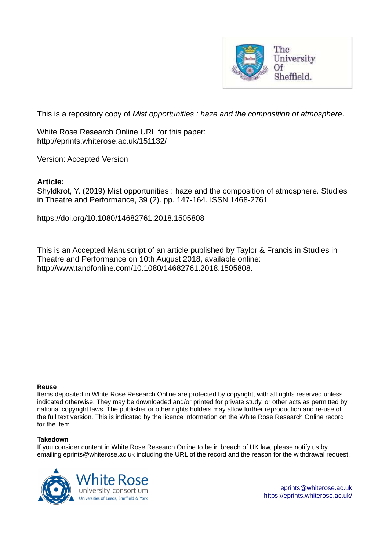

This is a repository copy of *Mist opportunities : haze and the composition of atmosphere*.

White Rose Research Online URL for this paper: http://eprints.whiterose.ac.uk/151132/

Version: Accepted Version

# **Article:**

Shyldkrot, Y. (2019) Mist opportunities : haze and the composition of atmosphere. Studies in Theatre and Performance, 39 (2). pp. 147-164. ISSN 1468-2761

https://doi.org/10.1080/14682761.2018.1505808

This is an Accepted Manuscript of an article published by Taylor & Francis in Studies in Theatre and Performance on 10th August 2018, available online: http://www.tandfonline.com/10.1080/14682761.2018.1505808.

### **Reuse**

Items deposited in White Rose Research Online are protected by copyright, with all rights reserved unless indicated otherwise. They may be downloaded and/or printed for private study, or other acts as permitted by national copyright laws. The publisher or other rights holders may allow further reproduction and re-use of the full text version. This is indicated by the licence information on the White Rose Research Online record for the item.

### **Takedown**

If you consider content in White Rose Research Online to be in breach of UK law, please notify us by emailing eprints@whiterose.ac.uk including the URL of the record and the reason for the withdrawal request.



[eprints@whiterose.ac.uk](mailto:eprints@whiterose.ac.uk) <https://eprints.whiterose.ac.uk/>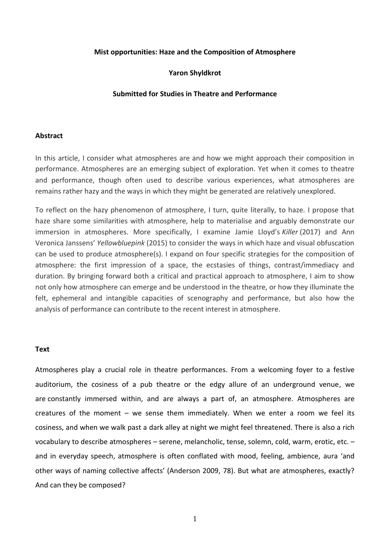## **Mist opportunities: Haze and the Composition of Atmosphere**

## **Yaron Shyldkrot**

## **Submitted for Studies in Theatre and Performance**

## **Abstract**

In this article, I consider what atmospheres are and how we might approach their composition in performance. Atmospheres are an emerging subject of exploration. Yet when it comes to theatre and performance, though often used to describe various experiences, what atmospheres are remains rather hazy and the ways in which they might be generated are relatively unexplored.

To reflect on the hazy phenomenon of atmosphere, I turn, quite literally, to haze. I propose that haze share some similarities with atmosphere, help to materialise and arguably demonstrate our immersion in atmospheres. More specifically, I examine Jamie Lloyd's Killer (2017) and Ann Veronica Janssens' *Yellowbluepink* (2015) to consider the ways in which haze and visual obfuscation can be used to produce atmosphere(s). I expand on four specific strategies for the composition of atmosphere: the first impression of a space, the ecstasies of things, contrast/immediacy and duration. By bringing forward both a critical and practical approach to atmosphere, I aim to show not only how atmosphere can emerge and be understood in the theatre, or how they illuminate the felt, ephemeral and intangible capacities of scenography and performance, but also how the analysis of performance can contribute to the recent interest in atmosphere.

## **Text**

Atmospheres play a crucial role in theatre performances. From a welcoming foyer to a festive auditorium, the cosiness of a pub theatre or the edgy allure of an underground venue, we are constantly immersed within, and are always a part of, an atmosphere. Atmospheres are creatures of the moment  $-$  we sense them immediately. When we enter a room we feel its cosiness, and when we walk past a dark alley at night we might feel threatened. There is also a rich vocabulary to describe atmospheres - serene, melancholic, tense, solemn, cold, warm, erotic, etc. and in everyday speech, atmosphere is often conflated with mood, feeling, ambience, aura 'and other ways of naming collective affects' (Anderson 2009, 78). But what are atmospheres, exactly? And can they be composed?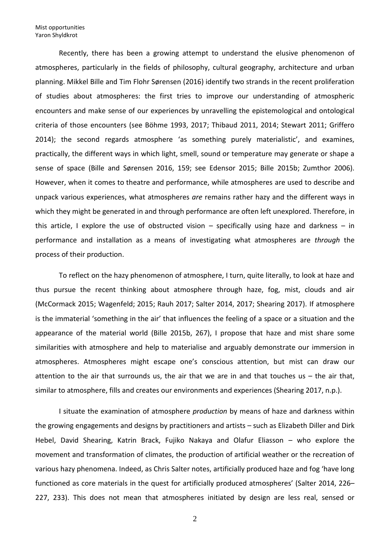Recently, there has been a growing attempt to understand the elusive phenomenon of atmospheres, particularly in the fields of philosophy, cultural geography, architecture and urban planning. Mikkel Bille and Tim Flohr Sørensen (2016) identify two strands in the recent proliferation of studies about atmospheres: the first tries to improve our understanding of atmospheric encounters and make sense of our experiences by unravelling the epistemological and ontological criteria of those encounters (see Böhme 1993, 2017; Thibaud 2011, 2014; Stewart 2011; Griffero 2014); the second regards atmosphere 'as something purely materialistic', and examines, practically, the different ways in which light, smell, sound or temperature may generate or shape a sense of space (Bille and Sørensen 2016, 159; see Edensor 2015; Bille 2015b; Zumthor 2006). However, when it comes to theatre and performance, while atmospheres are used to describe and unpack various experiences, what atmospheres *are* remains rather hazy and the different ways in which they might be generated in and through performance are often left unexplored. Therefore, in this article, I explore the use of obstructed vision  $-$  specifically using haze and darkness  $-$  in performance and installation as a means of investigating what atmospheres are *through* the process of their production.

To reflect on the hazy phenomenon of atmosphere, I turn, quite literally, to look at haze and thus pursue the recent thinking about atmosphere through haze, fog, mist, clouds and air (McCormack 2015; Wagenfeld; 2015; Rauh 2017; Salter 2014, 2017; Shearing 2017). If atmosphere is the immaterial 'something in the air' that influences the feeling of a space or a situation and the appearance of the material world (Bille 2015b, 267), I propose that haze and mist share some similarities with atmosphere and help to materialise and arguably demonstrate our immersion in atmospheres. Atmospheres might escape one's conscious attention, but mist can draw our attention to the air that surrounds us, the air that we are in and that touches us  $-$  the air that, similar to atmosphere, fills and creates our environments and experiences (Shearing 2017, n.p.).

I situate the examination of atmosphere *production* by means of haze and darkness within the growing engagements and designs by practitioners and artists - such as Elizabeth Diller and Dirk Hebel, David Shearing, Katrin Brack, Fujiko Nakaya and Olafur Eliasson - who explore the movement and transformation of climates, the production of artificial weather or the recreation of various hazy phenomena. Indeed, as Chris Salter notes, artificially produced haze and fog 'have long functioned as core materials in the quest for artificially produced atmospheres' (Salter 2014, 226– 227, 233). This does not mean that atmospheres initiated by design are less real, sensed or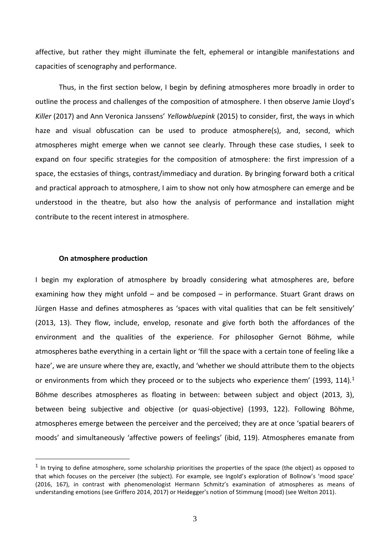affective, but rather they might illuminate the felt, ephemeral or intangible manifestations and capacities of scenography and performance.

Thus, in the first section below, I begin by defining atmospheres more broadly in order to outline the process and challenges of the composition of atmosphere. I then observe Jamie Lloyd's *Killer* (2017) and Ann Veronica Janssens' Yellowbluepink (2015) to consider, first, the ways in which haze and visual obfuscation can be used to produce atmosphere(s), and, second, which atmospheres might emerge when we cannot see clearly. Through these case studies, I seek to expand on four specific strategies for the composition of atmosphere: the first impression of a space, the ecstasies of things, contrast/immediacy and duration. By bringing forward both a critical and practical approach to atmosphere, I aim to show not only how atmosphere can emerge and be understood in the theatre, but also how the analysis of performance and installation might contribute to the recent interest in atmosphere.

#### **On atmosphere production**

<u>.</u>

I begin my exploration of atmosphere by broadly considering what atmospheres are, before examining how they might unfold  $-$  and be composed  $-$  in performance. Stuart Grant draws on Jürgen Hasse and defines atmospheres as 'spaces with vital qualities that can be felt sensitively' (2013, 13). They flow, include, envelop, resonate and give forth both the affordances of the environment and the qualities of the experience. For philosopher Gernot Böhme, while atmospheres bathe everything in a certain light or 'fill the space with a certain tone of feeling like a haze', we are unsure where they are, exactly, and 'whether we should attribute them to the objects or environments from which they proceed or to the subjects who experience them' (1993, 114).<sup>1</sup> Böhme describes atmospheres as floating in between: between subject and object (2013, 3), between being subjective and objective (or quasi-objective) (1993, 122). Following Böhme, atmospheres emerge between the perceiver and the perceived; they are at once 'spatial bearers of moods' and simultaneously 'affective powers of feelings' (ibid, 119). Atmospheres emanate from

 $<sup>1</sup>$  In trying to define atmosphere, some scholarship prioritises the properties of the space (the object) as opposed to</sup> that which focuses on the perceiver (the subject). For example, see Ingold's exploration of Bollnow's 'mood space' (2016, 167), in contrast with phenomenologist Hermann Schmitz's examination of atmospheres as means of understanding emotions (see Griffero 2014, 2017) or Heidegger's notion of Stimmung (mood) (see Welton 2011).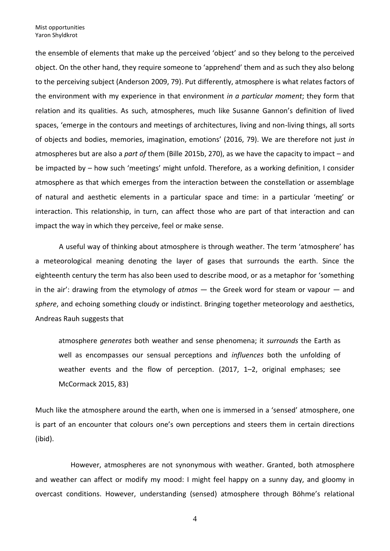the ensemble of elements that make up the perceived 'object' and so they belong to the perceived object. On the other hand, they require someone to 'apprehend' them and as such they also belong to the perceiving subject (Anderson 2009, 79). Put differently, atmosphere is what relates factors of the environment with my experience in that environment *in a particular moment*; they form that relation and its qualities. As such, atmospheres, much like Susanne Gannon's definition of lived spaces, 'emerge in the contours and meetings of architectures, living and non-living things, all sorts of objects and bodies, memories, imagination, emotions' (2016, 79). We are therefore not just *in* atmospheres but are also a *part of* them (Bille 2015b, 270), as we have the capacity to impact – and be impacted by - how such 'meetings' might unfold. Therefore, as a working definition, I consider atmosphere as that which emerges from the interaction between the constellation or assemblage of natural and aesthetic elements in a particular space and time: in a particular 'meeting' or interaction. This relationship, in turn, can affect those who are part of that interaction and can impact the way in which they perceive, feel or make sense.

A useful way of thinking about atmosphere is through weather. The term 'atmosphere' has a meteorological meaning denoting the layer of gases that surrounds the earth. Since the eighteenth century the term has also been used to describe mood, or as a metaphor for 'something in the air': drawing from the etymology of  $atmos -$  the Greek word for steam or vapour  $-$  and *sphere*, and echoing something cloudy or indistinct. Bringing together meteorology and aesthetics, Andreas Rauh suggests that

atmosphere *generates* both weather and sense phenomena; it *surrounds* the Earth as well as encompasses our sensual perceptions and *influences* both the unfolding of weather events and the flow of perception.  $(2017, 1-2,$  original emphases; see McCormack 2015, 83)

Much like the atmosphere around the earth, when one is immersed in a 'sensed' atmosphere, one is part of an encounter that colours one's own perceptions and steers them in certain directions (ibid).

 However, atmospheres are not synonymous with weather. Granted, both atmosphere and weather can affect or modify my mood: I might feel happy on a sunny day, and gloomy in overcast conditions. However, understanding (sensed) atmosphere through Böhme's relational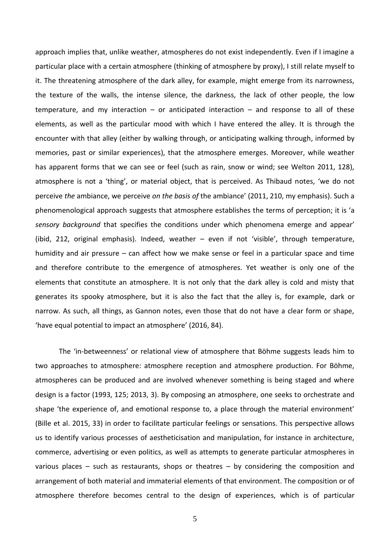approach implies that, unlike weather, atmospheres do not exist independently. Even if I imagine a particular place with a certain atmosphere (thinking of atmosphere by proxy), I still relate myself to it. The threatening atmosphere of the dark alley, for example, might emerge from its narrowness, the texture of the walls, the intense silence, the darkness, the lack of other people, the low temperature, and my interaction  $-$  or anticipated interaction  $-$  and response to all of these elements, as well as the particular mood with which I have entered the alley. It is through the encounter with that alley (either by walking through, or anticipating walking through, informed by memories, past or similar experiences), that the atmosphere emerges. Moreover, while weather has apparent forms that we can see or feel (such as rain, snow or wind; see Welton 2011, 128), atmosphere is not a 'thing', or material object, that is perceived. As Thibaud notes, 'we do not perceive *the* ambiance, we perceive *on the basis of* the ambiance' (2011, 210, my emphasis). Such a phenomenological approach suggests that atmosphere establishes the terms of perception; it is 'a *sensory background* that specifies the conditions under which phenomena emerge and appear' (ibid, 212, original emphasis). Indeed, weather  $-$  even if not 'visible', through temperature, humidity and air pressure – can affect how we make sense or feel in a particular space and time and therefore contribute to the emergence of atmospheres. Yet weather is only one of the elements that constitute an atmosphere. It is not only that the dark alley is cold and misty that generates its spooky atmosphere, but it is also the fact that the alley is, for example, dark or narrow. As such, all things, as Gannon notes, even those that do not have a clear form or shape, 'have equal potential to impact an atmosphere' (2016, 84).

The 'in-betweenness' or relational view of atmosphere that Böhme suggests leads him to two approaches to atmosphere: atmosphere reception and atmosphere production. For Böhme, atmospheres can be produced and are involved whenever something is being staged and where design is a factor (1993, 125; 2013, 3). By composing an atmosphere, one seeks to orchestrate and shape 'the experience of, and emotional response to, a place through the material environment' (Bille et al. 2015, 33) in order to facilitate particular feelings or sensations. This perspective allows us to identify various processes of aestheticisation and manipulation, for instance in architecture, commerce, advertising or even politics, as well as attempts to generate particular atmospheres in various places  $-$  such as restaurants, shops or theatres  $-$  by considering the composition and arrangement of both material and immaterial elements of that environment. The composition or of atmosphere therefore becomes central to the design of experiences, which is of particular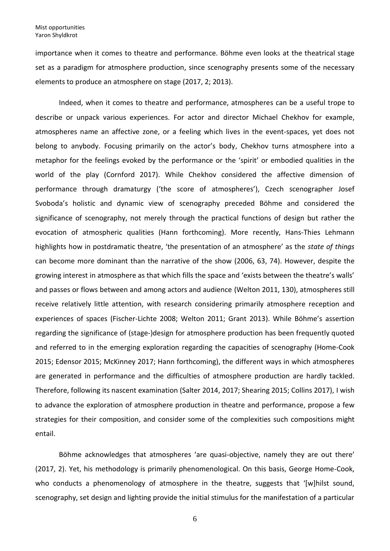importance when it comes to theatre and performance. Böhme even looks at the theatrical stage set as a paradigm for atmosphere production, since scenography presents some of the necessary elements to produce an atmosphere on stage (2017, 2; 2013).

 Indeed, when it comes to theatre and performance, atmospheres can be a useful trope to describe or unpack various experiences. For actor and director Michael Chekhov for example, atmospheres name an affective zone, or a feeling which lives in the event-spaces, yet does not belong to anybody. Focusing primarily on the actor's body, Chekhov turns atmosphere into a metaphor for the feelings evoked by the performance or the 'spirit' or embodied qualities in the world of the play (Cornford 2017). While Chekhov considered the affective dimension of performance through dramaturgy ('the score of atmospheres'), Czech scenographer Josef Svoboda's holistic and dynamic view of scenography preceded Böhme and considered the significance of scenography, not merely through the practical functions of design but rather the evocation of atmospheric qualities (Hann forthcoming). More recently, Hans-Thies Lehmann highlights how in postdramatic theatre, 'the presentation of an atmosphere' as the state of things can become more dominant than the narrative of the show (2006, 63, 74). However, despite the growing interest in atmosphere as that which fills the space and 'exists between the theatre's walls' and passes or flows between and among actors and audience (Welton 2011, 130), atmospheres still receive relatively little attention, with research considering primarily atmosphere reception and experiences of spaces (Fischer-Lichte 2008; Welton 2011; Grant 2013). While Böhme's assertion regarding the significance of (stage-)design for atmosphere production has been frequently quoted and referred to in the emerging exploration regarding the capacities of scenography (Home-Cook 2015; Edensor 2015; McKinney 2017; Hann forthcoming), the different ways in which atmospheres are generated in performance and the difficulties of atmosphere production are hardly tackled. Therefore, following its nascent examination (Salter 2014, 2017; Shearing 2015; Collins 2017), I wish to advance the exploration of atmosphere production in theatre and performance, propose a few strategies for their composition, and consider some of the complexities such compositions might entail.

Böhme acknowledges that atmospheres 'are quasi-objective, namely they are out there' (2017, 2). Yet, his methodology is primarily phenomenological. On this basis, George Home-Cook, who conducts a phenomenology of atmosphere in the theatre, suggests that '[w]hilst sound, scenography, set design and lighting provide the initial stimulus for the manifestation of a particular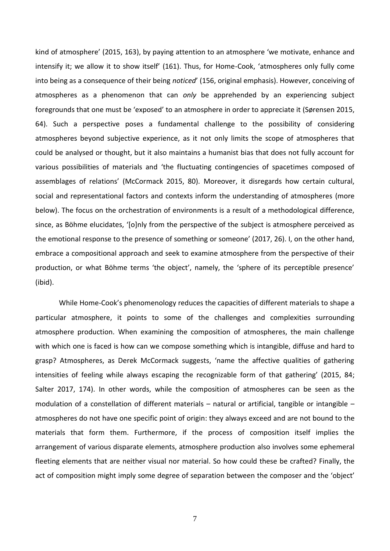kind of atmosphere' (2015, 163), by paying attention to an atmosphere 'we motivate, enhance and intensify it; we allow it to show itself' (161). Thus, for Home-Cook, 'atmospheres only fully come into being as a consequence of their being *noticed'* (156, original emphasis). However, conceiving of atmospheres as a phenomenon that can *only* be apprehended by an experiencing subject foregrounds that one must be 'exposed' to an atmosphere in order to appreciate it (Sørensen 2015, 64). Such a perspective poses a fundamental challenge to the possibility of considering atmospheres beyond subjective experience, as it not only limits the scope of atmospheres that could be analysed or thought, but it also maintains a humanist bias that does not fully account for various possibilities of materials and 'the fluctuating contingencies of spacetimes composed of assemblages of relations' (McCormack 2015, 80). Moreover, it disregards how certain cultural, social and representational factors and contexts inform the understanding of atmospheres (more below). The focus on the orchestration of environments is a result of a methodological difference, since, as Böhme elucidates, '[o]nly from the perspective of the subject is atmosphere perceived as the emotional response to the presence of something or someone' (2017, 26). I, on the other hand, embrace a compositional approach and seek to examine atmosphere from the perspective of their production, or what Böhme terms 'the object', namely, the 'sphere of its perceptible presence' (ibid).

While Home-Cook's phenomenology reduces the capacities of different materials to shape a particular atmosphere, it points to some of the challenges and complexities surrounding atmosphere production. When examining the composition of atmospheres, the main challenge with which one is faced is how can we compose something which is intangible, diffuse and hard to grasp? Atmospheres, as Derek McCormack suggests, 'name the affective qualities of gathering intensities of feeling while always escaping the recognizable form of that gathering' (2015, 84; Salter 2017, 174). In other words, while the composition of atmospheres can be seen as the modulation of a constellation of different materials  $-$  natural or artificial, tangible or intangible  $$ atmospheres do not have one specific point of origin: they always exceed and are not bound to the materials that form them. Furthermore, if the process of composition itself implies the arrangement of various disparate elements, atmosphere production also involves some ephemeral fleeting elements that are neither visual nor material. So how could these be crafted? Finally, the act of composition might imply some degree of separation between the composer and the 'object'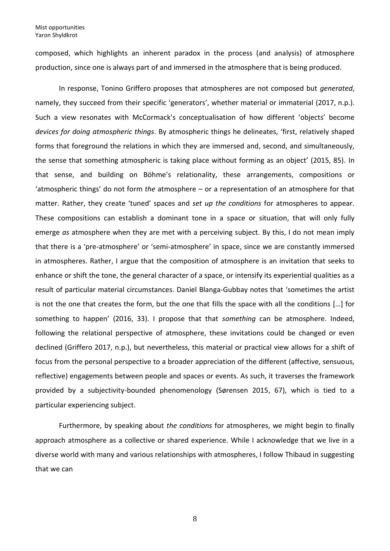composed, which highlights an inherent paradox in the process (and analysis) of atmosphere production, since one is always part of and immersed in the atmosphere that is being produced.

In response, Tonino Griffero proposes that atmospheres are not composed but *generated*, namely, they succeed from their specific 'generators', whether material or immaterial (2017, n.p.). Such a view resonates with McCormack's conceptualisation of how different 'objects' become *devices for doing atmospheric things*. By atmospheric things he delineates, 'first, relatively shaped forms that foreground the relations in which they are immersed and, second, and simultaneously, the sense that something atmospheric is taking place without forming as an object' (2015, 85). In that sense, and building on Böhme's relationality, these arrangements, compositions or 'atmospheric things' do not form *the* atmosphere – or a representation of an atmosphere for that matter. Rather, they create 'tuned' spaces and set up the conditions for atmospheres to appear. These compositions can establish a dominant tone in a space or situation, that will only fully emerge *as* atmosphere when they are met with a perceiving subject. By this, I do not mean imply that there is a 'pre-atmosphere' or 'semi-atmosphere' in space, since we are constantly immersed in atmospheres. Rather, I argue that the composition of atmosphere is an invitation that seeks to enhance or shift the tone, the general character of a space, or intensify its experiential qualities as a result of particular material circumstances. Daniel Blanga-Gubbay notes that 'sometimes the artist is not the one that creates the form, but the one that fills the space with all the conditions [...] for something to happen' (2016, 33). I propose that that something can be atmosphere. Indeed, following the relational perspective of atmosphere, these invitations could be changed or even declined (Griffero 2017, n.p.), but nevertheless, this material or practical view allows for a shift of focus from the personal perspective to a broader appreciation of the different (affective, sensuous, reflective) engagements between people and spaces or events. As such, it traverses the framework provided by a subjectivity-bounded phenomenology (Sørensen 2015, 67), which is tied to a particular experiencing subject.

Furthermore, by speaking about *the conditions* for atmospheres, we might begin to finally approach atmosphere as a collective or shared experience. While I acknowledge that we live in a diverse world with many and various relationships with atmospheres, I follow Thibaud in suggesting that we can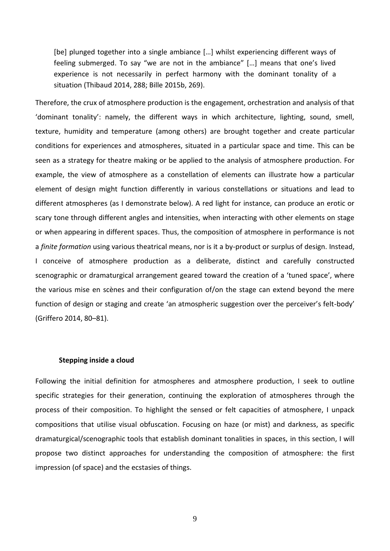[be] plunged together into a single ambiance [...] whilst experiencing different ways of feeling submerged. To say "we are not in the ambiance" [...] means that one's lived experience is not necessarily in perfect harmony with the dominant tonality of a situation (Thibaud 2014, 288; Bille 2015b, 269).

Therefore, the crux of atmosphere production is the engagement, orchestration and analysis of that 'dominant tonality': namely, the different ways in which architecture, lighting, sound, smell, texture, humidity and temperature (among others) are brought together and create particular conditions for experiences and atmospheres, situated in a particular space and time. This can be seen as a strategy for theatre making or be applied to the analysis of atmosphere production. For example, the view of atmosphere as a constellation of elements can illustrate how a particular element of design might function differently in various constellations or situations and lead to different atmospheres (as I demonstrate below). A red light for instance, can produce an erotic or scary tone through different angles and intensities, when interacting with other elements on stage or when appearing in different spaces. Thus, the composition of atmosphere in performance is not a *finite formation* using various theatrical means, nor is it a by-product or surplus of design. Instead, I conceive of atmosphere production as a deliberate, distinct and carefully constructed scenographic or dramaturgical arrangement geared toward the creation of a 'tuned space', where the various mise en scènes and their configuration of/on the stage can extend beyond the mere function of design or staging and create 'an atmospheric suggestion over the perceiver's felt-body' (Griffero 2014, 80-81).

### **Stepping inside a cloud**

Following the initial definition for atmospheres and atmosphere production, I seek to outline specific strategies for their generation, continuing the exploration of atmospheres through the process of their composition. To highlight the sensed or felt capacities of atmosphere, I unpack compositions that utilise visual obfuscation. Focusing on haze (or mist) and darkness, as specific dramaturgical/scenographic tools that establish dominant tonalities in spaces, in this section, I will propose two distinct approaches for understanding the composition of atmosphere: the first impression (of space) and the ecstasies of things.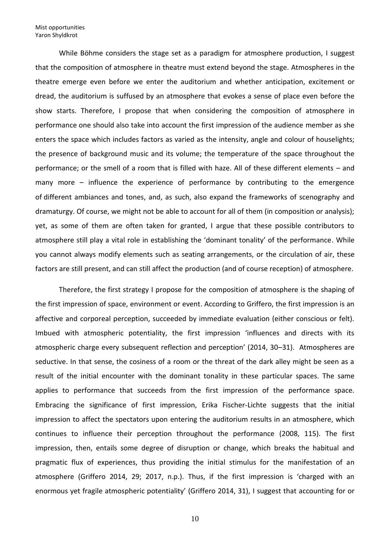While Böhme considers the stage set as a paradigm for atmosphere production, I suggest that the composition of atmosphere in theatre must extend beyond the stage. Atmospheres in the theatre emerge even before we enter the auditorium and whether anticipation, excitement or dread, the auditorium is suffused by an atmosphere that evokes a sense of place even before the show starts. Therefore, I propose that when considering the composition of atmosphere in performance one should also take into account the first impression of the audience member as she enters the space which includes factors as varied as the intensity, angle and colour of houselights; the presence of background music and its volume; the temperature of the space throughout the performance; or the smell of a room that is filled with haze. All of these different elements - and many more  $-$  influence the experience of performance by contributing to the emergence of different ambiances and tones, and, as such, also expand the frameworks of scenography and dramaturgy. Of course, we might not be able to account for all of them (in composition or analysis); yet, as some of them are often taken for granted, I argue that these possible contributors to atmosphere still play a vital role in establishing the 'dominant tonality' of the performance. While you cannot always modify elements such as seating arrangements, or the circulation of air, these factors are still present, and can still affect the production (and of course reception) of atmosphere.

Therefore, the first strategy I propose for the composition of atmosphere is the shaping of the first impression of space, environment or event. According to Griffero, the first impression is an affective and corporeal perception, succeeded by immediate evaluation (either conscious or felt). Imbued with atmospheric potentiality, the first impression 'influences and directs with its atmospheric charge every subsequent reflection and perception' (2014, 30-31). Atmospheres are seductive. In that sense, the cosiness of a room or the threat of the dark alley might be seen as a result of the initial encounter with the dominant tonality in these particular spaces. The same applies to performance that succeeds from the first impression of the performance space. Embracing the significance of first impression, Erika Fischer-Lichte suggests that the initial impression to affect the spectators upon entering the auditorium results in an atmosphere, which continues to influence their perception throughout the performance (2008, 115). The first impression, then, entails some degree of disruption or change, which breaks the habitual and pragmatic flux of experiences, thus providing the initial stimulus for the manifestation of an atmosphere (Griffero 2014, 29; 2017, n.p.). Thus, if the first impression is 'charged with an enormous yet fragile atmospheric potentiality' (Griffero 2014, 31), I suggest that accounting for or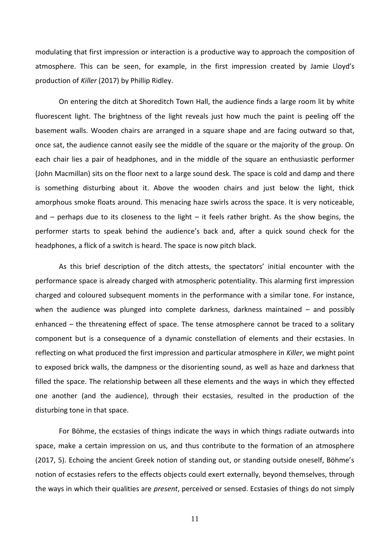modulating that first impression or interaction is a productive way to approach the composition of atmosphere. This can be seen, for example, in the first impression created by Jamie Lloyd's production of *Killer* (2017) by Phillip Ridley.

On entering the ditch at Shoreditch Town Hall, the audience finds a large room lit by white fluorescent light. The brightness of the light reveals just how much the paint is peeling off the basement walls. Wooden chairs are arranged in a square shape and are facing outward so that, once sat, the audience cannot easily see the middle of the square or the majority of the group. On each chair lies a pair of headphones, and in the middle of the square an enthusiastic performer (John Macmillan) sits on the floor next to a large sound desk. The space is cold and damp and there is something disturbing about it. Above the wooden chairs and just below the light, thick amorphous smoke floats around. This menacing haze swirls across the space. It is very noticeable, and  $-$  perhaps due to its closeness to the light  $-$  it feels rather bright. As the show begins, the performer starts to speak behind the audience's back and, after a quick sound check for the headphones, a flick of a switch is heard. The space is now pitch black.

As this brief description of the ditch attests, the spectators' initial encounter with the performance space is already charged with atmospheric potentiality. This alarming first impression charged and coloured subsequent moments in the performance with a similar tone. For instance, when the audience was plunged into complete darkness, darkness maintained  $-$  and possibly enhanced  $-$  the threatening effect of space. The tense atmosphere cannot be traced to a solitary component but is a consequence of a dynamic constellation of elements and their ecstasies. In reflecting on what produced the first impression and particular atmosphere in *Killer*, we might point to exposed brick walls, the dampness or the disorienting sound, as well as haze and darkness that filled the space. The relationship between all these elements and the ways in which they effected one another (and the audience), through their ecstasies, resulted in the production of the disturbing tone in that space.

For Böhme, the ecstasies of things indicate the ways in which things radiate outwards into space, make a certain impression on us, and thus contribute to the formation of an atmosphere (2017, 5). Echoing the ancient Greek notion of standing out, or standing outside oneself, Böhme's notion of ecstasies refers to the effects objects could exert externally, beyond themselves, through the ways in which their qualities are *present*, perceived or sensed. Ecstasies of things do not simply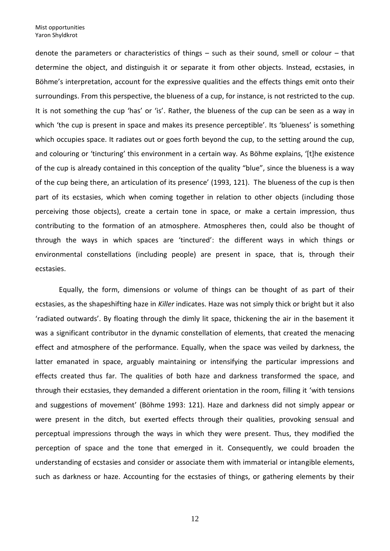denote the parameters or characteristics of things  $-$  such as their sound, smell or colour  $-$  that determine the object, and distinguish it or separate it from other objects. Instead, ecstasies, in Böhme's interpretation, account for the expressive qualities and the effects things emit onto their surroundings. From this perspective, the blueness of a cup, for instance, is not restricted to the cup. It is not something the cup 'has' or 'is'. Rather, the blueness of the cup can be seen as a way in which 'the cup is present in space and makes its presence perceptible'. Its 'blueness' is something which occupies space. It radiates out or goes forth beyond the cup, to the setting around the cup, and colouring or 'tincturing' this environment in a certain way. As Böhme explains, '[t]he existence of the cup is already contained in this conception of the quality "blue", since the blueness is a way of the cup being there, an articulation of its presence' (1993, 121). The blueness of the cup is then part of its ecstasies, which when coming together in relation to other objects (including those perceiving those objects), create a certain tone in space, or make a certain impression, thus contributing to the formation of an atmosphere. Atmospheres then, could also be thought of through the ways in which spaces are 'tinctured': the different ways in which things or environmental constellations (including people) are present in space, that is, through their ecstasies.

Equally, the form, dimensions or volume of things can be thought of as part of their ecstasies, as the shapeshifting haze in *Killer* indicates. Haze was not simply thick or bright but it also 'radiated outwards'. By floating through the dimly lit space, thickening the air in the basement it was a significant contributor in the dynamic constellation of elements, that created the menacing effect and atmosphere of the performance. Equally, when the space was veiled by darkness, the latter emanated in space, arguably maintaining or intensifying the particular impressions and effects created thus far. The qualities of both haze and darkness transformed the space, and through their ecstasies, they demanded a different orientation in the room, filling it 'with tensions and suggestions of movement' (Böhme 1993: 121). Haze and darkness did not simply appear or were present in the ditch, but exerted effects through their qualities, provoking sensual and perceptual impressions through the ways in which they were present. Thus, they modified the perception of space and the tone that emerged in it. Consequently, we could broaden the understanding of ecstasies and consider or associate them with immaterial or intangible elements, such as darkness or haze. Accounting for the ecstasies of things, or gathering elements by their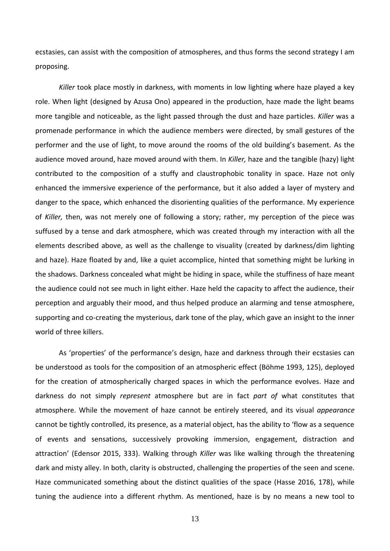ecstasies, can assist with the composition of atmospheres, and thus forms the second strategy I am proposing.

*Killer* took place mostly in darkness, with moments in low lighting where haze played a key role. When light (designed by Azusa Ono) appeared in the production, haze made the light beams more tangible and noticeable, as the light passed through the dust and haze particles. *Killer* was a promenade performance in which the audience members were directed, by small gestures of the performer and the use of light, to move around the rooms of the old building's basement. As the audience moved around, haze moved around with them. In *Killer,* haze and the tangible (hazy) light contributed to the composition of a stuffy and claustrophobic tonality in space. Haze not only enhanced the immersive experience of the performance, but it also added a layer of mystery and danger to the space, which enhanced the disorienting qualities of the performance. My experience of *Killer,* then, was not merely one of following a story; rather, my perception of the piece was suffused by a tense and dark atmosphere, which was created through my interaction with all the elements described above, as well as the challenge to visuality (created by darkness/dim lighting and haze). Haze floated by and, like a quiet accomplice, hinted that something might be lurking in the shadows. Darkness concealed what might be hiding in space, while the stuffiness of haze meant the audience could not see much in light either. Haze held the capacity to affect the audience, their perception and arguably their mood, and thus helped produce an alarming and tense atmosphere, supporting and co-creating the mysterious, dark tone of the play, which gave an insight to the inner world of three killers.

As 'properties' of the performance's design, haze and darkness through their ecstasies can be understood as tools for the composition of an atmospheric effect (Böhme 1993, 125), deployed for the creation of atmospherically charged spaces in which the performance evolves. Haze and darkness do not simply *represent* atmosphere but are in fact *part of* what constitutes that atmosphere. While the movement of haze cannot be entirely steered, and its visual *appearance* cannot be tightly controlled, its presence, as a material object, has the ability to 'flow as a sequence of events and sensations, successively provoking immersion, engagement, distraction and attraction' (Edensor 2015, 333). Walking through *Killer* was like walking through the threatening dark and misty alley. In both, clarity is obstructed, challenging the properties of the seen and scene. Haze communicated something about the distinct qualities of the space (Hasse 2016, 178), while tuning the audience into a different rhythm. As mentioned, haze is by no means a new tool to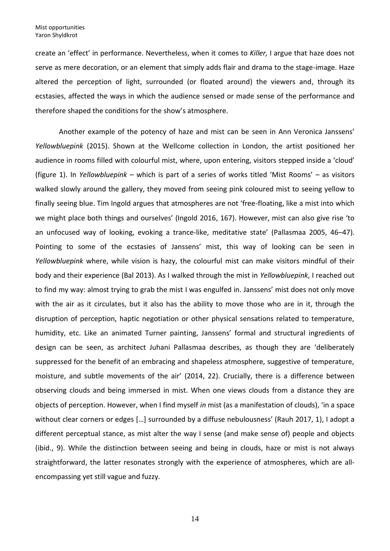create an 'effect' in performance. Nevertheless, when it comes to *Killer*, I argue that haze does not serve as mere decoration, or an element that simply adds flair and drama to the stage-image. Haze altered the perception of light, surrounded (or floated around) the viewers and, through its ecstasies, affected the ways in which the audience sensed or made sense of the performance and therefore shaped the conditions for the show's atmosphere.

Another example of the potency of haze and mist can be seen in Ann Veronica Janssens' *Yellowbluepink* (2015). Shown at the Wellcome collection in London, the artist positioned her audience in rooms filled with colourful mist, where, upon entering, visitors stepped inside a 'cloud' (figure 1). In *Yellowbluepink* – which is part of a series of works titled 'Mist Rooms' – as visitors walked slowly around the gallery, they moved from seeing pink coloured mist to seeing yellow to finally seeing blue. Tim Ingold argues that atmospheres are not 'free-floating, like a mist into which we might place both things and ourselves' (Ingold 2016, 167). However, mist can also give rise 'to an unfocused way of looking, evoking a trance-like, meditative state' (Pallasmaa 2005, 46-47). Pointing to some of the ecstasies of Janssens' mist, this way of looking can be seen in *Yellowbluepink* where, while vision is hazy, the colourful mist can make visitors mindful of their body and their experience (Bal 2013). As I walked through the mist in *Yellowbluepink*, I reached out to find my way: almost trying to grab the mist I was engulfed in. Janssens' mist does not only move with the air as it circulates, but it also has the ability to move those who are in it, through the disruption of perception, haptic negotiation or other physical sensations related to temperature, humidity, etc. Like an animated Turner painting, Janssens' formal and structural ingredients of design can be seen, as architect Juhani Pallasmaa describes, as though they are 'deliberately suppressed for the benefit of an embracing and shapeless atmosphere, suggestive of temperature, moisture, and subtle movements of the air' (2014, 22). Crucially, there is a difference between observing clouds and being immersed in mist. When one views clouds from a distance they are objects of perception. However, when I find myself *in* mist (as a manifestation of clouds), 'in a space without clear corners or edges [...] surrounded by a diffuse nebulousness' (Rauh 2017, 1), I adopt a different perceptual stance, as mist alter the way I sense (and make sense of) people and objects (ibid., 9). While the distinction between seeing and being in clouds, haze or mist is not always straightforward, the latter resonates strongly with the experience of atmospheres, which are allencompassing yet still vague and fuzzy.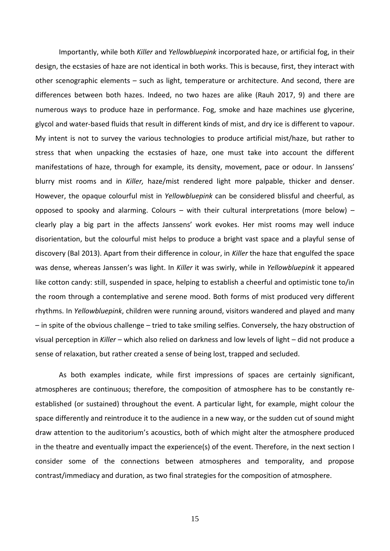Importantly, while both *Killer* and *Yellowbluepink* incorporated haze, or artificial fog, in their design, the ecstasies of haze are not identical in both works. This is because, first, they interact with other scenographic elements - such as light, temperature or architecture. And second, there are differences between both hazes. Indeed, no two hazes are alike (Rauh 2017, 9) and there are numerous ways to produce haze in performance. Fog, smoke and haze machines use glycerine, glycol and water-based fluids that result in different kinds of mist, and dry ice is different to vapour. My intent is not to survey the various technologies to produce artificial mist/haze, but rather to stress that when unpacking the ecstasies of haze, one must take into account the different manifestations of haze, through for example, its density, movement, pace or odour. In Janssens' blurry mist rooms and in *Killer,* haze/mist rendered light more palpable, thicker and denser. However, the opaque colourful mist in *Yellowbluepink* can be considered blissful and cheerful, as opposed to spooky and alarming. Colours – with their cultural interpretations (more below)  $$ clearly play a big part in the affects Janssens' work evokes. Her mist rooms may well induce disorientation, but the colourful mist helps to produce a bright vast space and a playful sense of discovery (Bal 2013). Apart from their difference in colour, in *Killer* the haze that engulfed the space was dense, whereas Janssen's was light. In Killer it was swirly, while in *Yellowbluepink* it appeared like cotton candy: still, suspended in space, helping to establish a cheerful and optimistic tone to/in the room through a contemplative and serene mood. Both forms of mist produced very different rhythms. In *Yellowbluepink*, children were running around, visitors wandered and played and many - in spite of the obvious challenge - tried to take smiling selfies. Conversely, the hazy obstruction of visual perception in *Killer* – which also relied on darkness and low levels of light – did not produce a sense of relaxation, but rather created a sense of being lost, trapped and secluded.

As both examples indicate, while first impressions of spaces are certainly significant, atmospheres are continuous; therefore, the composition of atmosphere has to be constantly reestablished (or sustained) throughout the event. A particular light, for example, might colour the space differently and reintroduce it to the audience in a new way, or the sudden cut of sound might draw attention to the auditorium's acoustics, both of which might alter the atmosphere produced in the theatre and eventually impact the experience(s) of the event. Therefore, in the next section I consider some of the connections between atmospheres and temporality, and propose contrast/immediacy and duration, as two final strategies for the composition of atmosphere.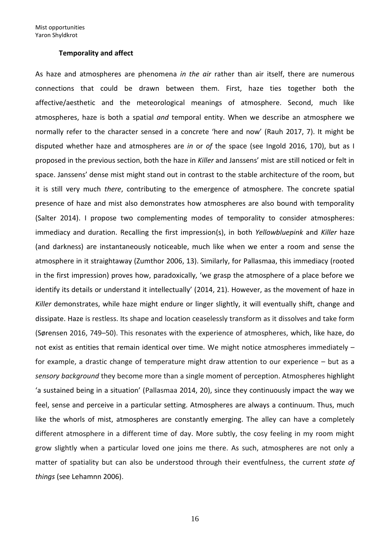### **Temporality and affect**

As haze and atmospheres are phenomena *in the air* rather than air itself, there are numerous connections that could be drawn between them. First, haze ties together both the affective/aesthetic and the meteorological meanings of atmosphere. Second, much like atmospheres, haze is both a spatial *and* temporal entity. When we describe an atmosphere we normally refer to the character sensed in a concrete 'here and now' (Rauh 2017, 7). It might be disputed whether haze and atmospheres are *in* or *of* the space (see Ingold 2016, 170), but as I proposed in the previous section, both the haze in *Killer* and Janssens' mist are still noticed or felt in space. Janssens' dense mist might stand out in contrast to the stable architecture of the room, but it is still very much *there*, contributing to the emergence of atmosphere. The concrete spatial presence of haze and mist also demonstrates how atmospheres are also bound with temporality (Salter 2014). I propose two complementing modes of temporality to consider atmospheres: immediacy and duration. Recalling the first impression(s), in both *Yellowbluepink* and *Killer* haze (and darkness) are instantaneously noticeable, much like when we enter a room and sense the atmosphere in it straightaway (Zumthor 2006, 13). Similarly, for Pallasmaa, this immediacy (rooted in the first impression) proves how, paradoxically, 'we grasp the atmosphere of a place before we identify its details or understand it intellectually' (2014, 21). However, as the movement of haze in *Killer* demonstrates, while haze might endure or linger slightly, it will eventually shift, change and dissipate. Haze is restless. Its shape and location ceaselessly transform as it dissolves and take form (Sørensen 2016, 749-50). This resonates with the experience of atmospheres, which, like haze, do not exist as entities that remain identical over time. We might notice atmospheres immediately for example, a drastic change of temperature might draw attention to our experience  $-$  but as a *sensory background* they become more than a single moment of perception. Atmospheres highlight 'a sustained being in a situation' (Pallasmaa 2014, 20), since they continuously impact the way we feel, sense and perceive in a particular setting. Atmospheres are always a continuum. Thus, much like the whorls of mist, atmospheres are constantly emerging. The alley can have a completely different atmosphere in a different time of day. More subtly, the cosy feeling in my room might grow slightly when a particular loved one joins me there. As such, atmospheres are not only a matter of spatiality but can also be understood through their eventfulness, the current *state of things* (see Lehamnn 2006).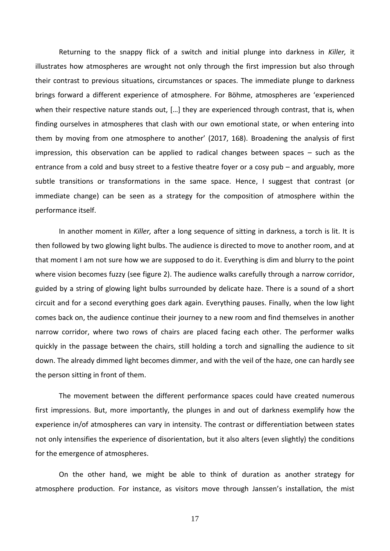Returning to the snappy flick of a switch and initial plunge into darkness in *Killer,* it illustrates how atmospheres are wrought not only through the first impression but also through their contrast to previous situations, circumstances or spaces. The immediate plunge to darkness brings forward a different experience of atmosphere. For Böhme, atmospheres are 'experienced when their respective nature stands out, [...] they are experienced through contrast, that is, when finding ourselves in atmospheres that clash with our own emotional state, or when entering into them by moving from one atmosphere to another' (2017, 168). Broadening the analysis of first impression, this observation can be applied to radical changes between spaces  $-$  such as the entrance from a cold and busy street to a festive theatre foyer or a cosy pub – and arguably, more subtle transitions or transformations in the same space. Hence, I suggest that contrast (or immediate change) can be seen as a strategy for the composition of atmosphere within the performance itself.

In another moment in *Killer,* after a long sequence of sitting in darkness, a torch is lit. It is then followed by two glowing light bulbs. The audience is directed to move to another room, and at that moment I am not sure how we are supposed to do it. Everything is dim and blurry to the point where vision becomes fuzzy (see figure 2). The audience walks carefully through a narrow corridor, guided by a string of glowing light bulbs surrounded by delicate haze. There is a sound of a short circuit and for a second everything goes dark again. Everything pauses. Finally, when the low light comes back on, the audience continue their journey to a new room and find themselves in another narrow corridor, where two rows of chairs are placed facing each other. The performer walks quickly in the passage between the chairs, still holding a torch and signalling the audience to sit down. The already dimmed light becomes dimmer, and with the veil of the haze, one can hardly see the person sitting in front of them.

The movement between the different performance spaces could have created numerous first impressions. But, more importantly, the plunges in and out of darkness exemplify how the experience in/of atmospheres can vary in intensity. The contrast or differentiation between states not only intensifies the experience of disorientation, but it also alters (even slightly) the conditions for the emergence of atmospheres.

On the other hand, we might be able to think of duration as another strategy for atmosphere production. For instance, as visitors move through Janssen's installation, the mist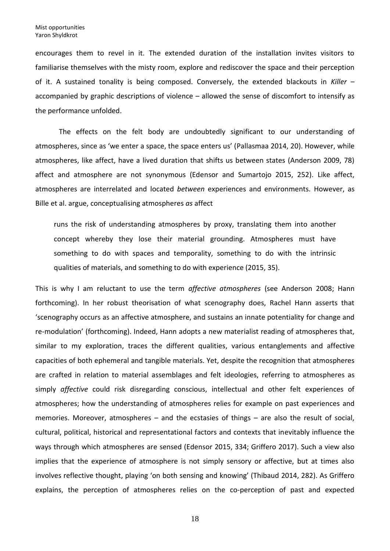encourages them to revel in it. The extended duration of the installation invites visitors to familiarise themselves with the misty room, explore and rediscover the space and their perception of it. A sustained tonality is being composed. Conversely, the extended blackouts in *Killer* accompanied by graphic descriptions of violence - allowed the sense of discomfort to intensify as the performance unfolded.

The effects on the felt body are undoubtedly significant to our understanding of atmospheres, since as 'we enter a space, the space enters us' (Pallasmaa 2014, 20). However, while atmospheres, like affect, have a lived duration that shifts us between states (Anderson 2009, 78) affect and atmosphere are not synonymous (Edensor and Sumartojo 2015, 252). Like affect, atmospheres are interrelated and located *between* experiences and environments. However, as Bille et al. argue, conceptualising atmospheres *as* affect

runs the risk of understanding atmospheres by proxy, translating them into another concept whereby they lose their material grounding. Atmospheres must have something to do with spaces and temporality, something to do with the intrinsic qualities of materials, and something to do with experience (2015, 35).

This is why I am reluctant to use the term *affective atmospheres* (see Anderson 2008; Hann forthcoming). In her robust theorisation of what scenography does, Rachel Hann asserts that 'scenography occurs as an affective atmosphere, and sustains an innate potentiality for change and re-modulation' (forthcoming). Indeed, Hann adopts a new materialist reading of atmospheres that, similar to my exploration, traces the different qualities, various entanglements and affective capacities of both ephemeral and tangible materials. Yet, despite the recognition that atmospheres are crafted in relation to material assemblages and felt ideologies, referring to atmospheres as simply *affective* could risk disregarding conscious, intellectual and other felt experiences of atmospheres; how the understanding of atmospheres relies for example on past experiences and memories. Moreover, atmospheres  $-$  and the ecstasies of things  $-$  are also the result of social, cultural, political, historical and representational factors and contexts that inevitably influence the ways through which atmospheres are sensed (Edensor 2015, 334; Griffero 2017). Such a view also implies that the experience of atmosphere is not simply sensory or affective, but at times also involves reflective thought, playing 'on both sensing and knowing' (Thibaud 2014, 282). As Griffero explains, the perception of atmospheres relies on the co-perception of past and expected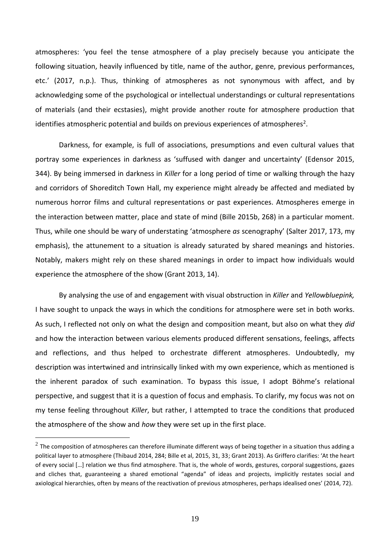atmospheres: 'you feel the tense atmosphere of a play precisely because you anticipate the following situation, heavily influenced by title, name of the author, genre, previous performances, etc.' (2017, n.p.). Thus, thinking of atmospheres as not synonymous with affect, and by acknowledging some of the psychological or intellectual understandings or cultural representations of materials (and their ecstasies), might provide another route for atmosphere production that identifies atmospheric potential and builds on previous experiences of atmospheres<sup>2</sup>.

Darkness, for example, is full of associations, presumptions and even cultural values that portray some experiences in darkness as 'suffused with danger and uncertainty' (Edensor 2015, 344). By being immersed in darkness in *Killer* for a long period of time or walking through the hazy and corridors of Shoreditch Town Hall, my experience might already be affected and mediated by numerous horror films and cultural representations or past experiences. Atmospheres emerge in the interaction between matter, place and state of mind (Bille 2015b, 268) in a particular moment. Thus, while one should be wary of understating 'atmosphere *as* scenography' (Salter 2017, 173, my emphasis), the attunement to a situation is already saturated by shared meanings and histories. Notably, makers might rely on these shared meanings in order to impact how individuals would experience the atmosphere of the show (Grant 2013, 14).

By analysing the use of and engagement with visual obstruction in *Killer* and *Yellowbluepink,* I have sought to unpack the ways in which the conditions for atmosphere were set in both works. As such, I reflected not only on what the design and composition meant, but also on what they *did*  and how the interaction between various elements produced different sensations, feelings, affects and reflections, and thus helped to orchestrate different atmospheres. Undoubtedly, my description was intertwined and intrinsically linked with my own experience, which as mentioned is the inherent paradox of such examination. To bypass this issue, I adopt Böhme's relational perspective, and suggest that it is a question of focus and emphasis. To clarify, my focus was not on my tense feeling throughout *Killer*, but rather, I attempted to trace the conditions that produced the atmosphere of the show and *how* they were set up in the first place.

<u>.</u>

 $^2$  The composition of atmospheres can therefore illuminate different ways of being together in a situation thus adding a political layer to atmosphere (Thibaud 2014, 284; Bille et al, 2015, 31, 33; Grant 2013). As Griffero clarifies: 'At the heart of every social [...] relation we thus find atmosphere. That is, the whole of words, gestures, corporal suggestions, gazes and cliches that, guaranteeing a shared emotional "agenda" of ideas and projects, implicitly restates social and axiological hierarchies, often by means of the reactivation of previous atmospheres, perhaps idealised ones' (2014, 72).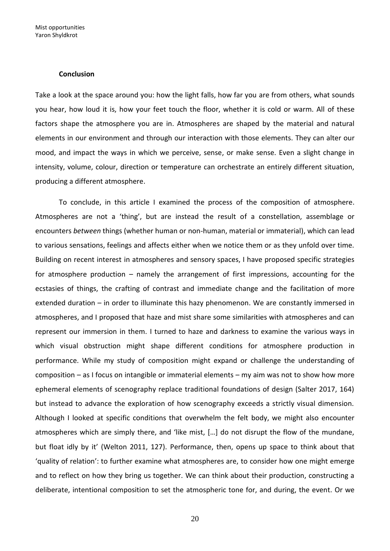## **Conclusion**

Take a look at the space around you: how the light falls, how far you are from others, what sounds you hear, how loud it is, how your feet touch the floor, whether it is cold or warm. All of these factors shape the atmosphere you are in. Atmospheres are shaped by the material and natural elements in our environment and through our interaction with those elements. They can alter our mood, and impact the ways in which we perceive, sense, or make sense. Even a slight change in intensity, volume, colour, direction or temperature can orchestrate an entirely different situation, producing a different atmosphere.

To conclude, in this article I examined the process of the composition of atmosphere. Atmospheres are not a 'thing', but are instead the result of a constellation, assemblage or encounters *between* things (whether human or non-human, material or immaterial), which can lead to various sensations, feelings and affects either when we notice them or as they unfold over time. Building on recent interest in atmospheres and sensory spaces, I have proposed specific strategies for atmosphere production  $-$  namely the arrangement of first impressions, accounting for the ecstasies of things, the crafting of contrast and immediate change and the facilitation of more extended duration - in order to illuminate this hazy phenomenon. We are constantly immersed in atmospheres, and I proposed that haze and mist share some similarities with atmospheres and can represent our immersion in them. I turned to haze and darkness to examine the various ways in which visual obstruction might shape different conditions for atmosphere production in performance. While my study of composition might expand or challenge the understanding of composition  $-$  as I focus on intangible or immaterial elements  $-$  my aim was not to show how more ephemeral elements of scenography replace traditional foundations of design (Salter 2017, 164) but instead to advance the exploration of how scenography exceeds a strictly visual dimension. Although I looked at specific conditions that overwhelm the felt body, we might also encounter atmospheres which are simply there, and 'like mist, [...] do not disrupt the flow of the mundane, but float idly by it' (Welton 2011, 127). Performance, then, opens up space to think about that 'quality of relation': to further examine what atmospheres are, to consider how one might emerge and to reflect on how they bring us together. We can think about their production, constructing a deliberate, intentional composition to set the atmospheric tone for, and during, the event. Or we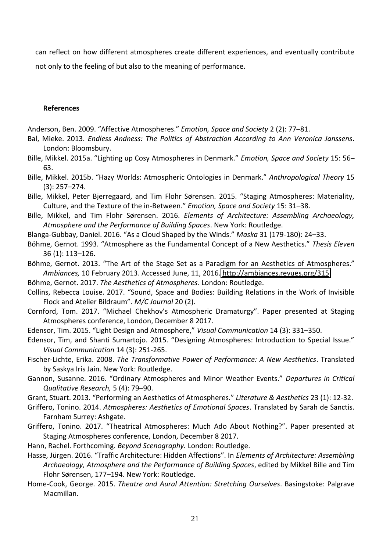can reflect on how different atmospheres create different experiences, and eventually contribute not only to the feeling of but also to the meaning of performance.

# **References**

Anderson, Ben. 2009. "Affective Atmospheres." Emotion, Space and Society 2 (2): 77-81.

- Bal, Mieke. 2013. *Endless Andness: The Politics of Abstraction According to Ann Veronica Janssens*. London: Bloomsbury.
- Bille, Mikkel. 2015a. "Lighting up Cosy Atmospheres in Denmark." *Emotion, Space and Society* 15: 56– 63.
- Bille, Mikkel. 2015b. "Hazy Worlds: Atmospheric Ontologies in Denmark." Anthropological Theory 15  $(3): 257 - 274.$
- Bille, Mikkel, Peter Bjerregaard, and Tim Flohr Sørensen. 2015. "Staging Atmospheres: Materiality, Culture, and the Texture of the in-Between." Emotion, Space and Society 15: 31-38.
- Bille, Mikkel, and Tim Flohr Sørensen. 2016. *Elements of Architecture: Assembling Archaeology*, *Atmosphere and the Performance of Building Spaces*. New York: Routledge.
- Blanga-Gubbay, Daniel. 2016. "As a Cloud Shaped by the Winds." Maska 31 (179-180): 24-33.
- Böhme, Gernot. 1993. "Atmosphere as the Fundamental Concept of a New Aesthetics." Thesis Eleven 36 (1): 113-126.
- Böhme, Gernot. 2013. "The Art of the Stage Set as a Paradigm for an Aesthetics of Atmospheres." *Ambiances,* 10 February 2013. Accessed June, 11, 2016. <http://ambiances.revues.org/315>

Bˆhme, Gernot. 2017. *The Aesthetics of Atmospheres*. London: Routledge.

- Collins, Rebecca Louise. 2017. "Sound, Space and Bodies: Building Relations in the Work of Invisible Flock and Atelier Bildraum". M/C Journal 20 (2).
- Cornford, Tom. 2017. "Michael Chekhov's Atmospheric Dramaturgy". Paper presented at Staging Atmospheres conference, London, December 8 2017.
- Edensor, Tim. 2015. "Light Design and Atmosphere," Visual Communication 14 (3): 331-350.
- Edensor, Tim, and Shanti Sumartojo. 2015. "Designing Atmospheres: Introduction to Special Issue." *Visual Communication* 14 (3): 251-265.
- Fischer-Lichte, Erika. 2008. *The Transformative Power of Performance: A New Aesthetics*. Translated by Saskya Iris Jain. New York: Routledge.
- Gannon, Susanne. 2016. "Ordinary Atmospheres and Minor Weather Events." Departures in Critical *Qualitative Research,* 5 (4): 79-90.
- Grant, Stuart. 2013. "Performing an Aesthetics of Atmospheres." Literature & Aesthetics 23 (1): 12-32.
- Griffero, Tonino. 2014. *Atmospheres: Aesthetics of Emotional Spaces*. Translated by Sarah de Sanctis. Farnham Surrey: Ashgate.
- Griffero, Tonino. 2017. "Theatrical Atmospheres: Much Ado About Nothing?". Paper presented at Staging Atmospheres conference, London, December 8 2017.
- Hann, Rachel. Forthcoming. *Beyond Scenography.* London: Routledge.
- Hasse, Jürgen. 2016. "Traffic Architecture: Hidden Affections". In *Elements of Architecture: Assembling Archaeology, Atmosphere and the Performance of Building Spaces*, edited by Mikkel Bille and Tim Flohr Sørensen, 177-194. New York: Routledge.
- Home-Cook, George. 2015. *Theatre and Aural Attention: Stretching Ourselves*. Basingstoke: Palgrave Macmillan.